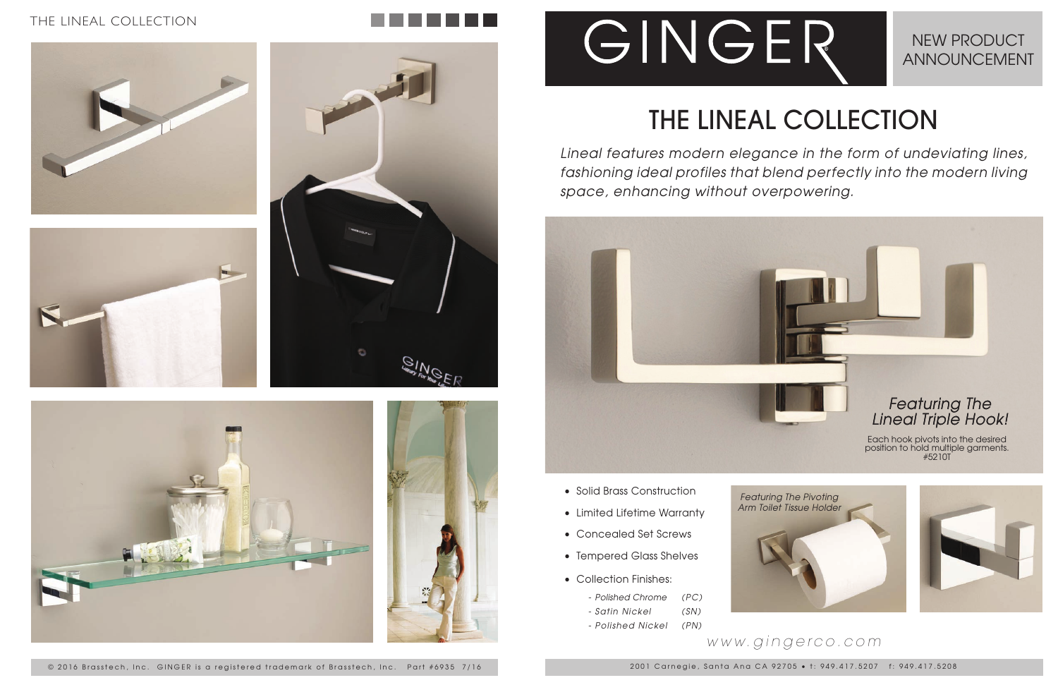# THE LINEAL COLLECTION

*Lineal features modern elegance in the form of undeviating lines, fashioning ideal profiles that blend perfectly into the modern living space, enhancing without overpowering.*

# NEW PRODUCT ANNOUNCEMENT

2001 Carnegie, Santa Ana CA 92705 • t: 949.417.5207 f: 949.417.5208

## *www.gingerco.com*

## THE LINEAL COLLECTION











- 
- 
- 
- 
- - *Polished Chrome (PC)*
	- *Satin Nickel (SN)*
	- *Polished Nickel (PN)*